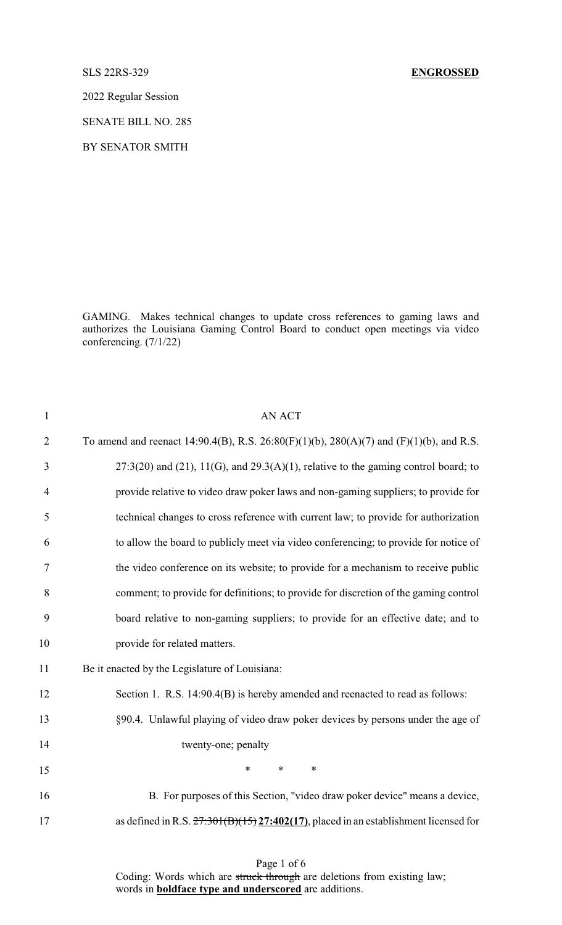2022 Regular Session

SENATE BILL NO. 285

BY SENATOR SMITH

GAMING. Makes technical changes to update cross references to gaming laws and authorizes the Louisiana Gaming Control Board to conduct open meetings via video conferencing. (7/1/22)

| <b>AN ACT</b>                                                                                   |
|-------------------------------------------------------------------------------------------------|
| To amend and reenact 14:90.4(B), R.S. $26:80(F)(1)(b)$ , $280(A)(7)$ and $(F)(1)(b)$ , and R.S. |
| $27:3(20)$ and (21), 11(G), and 29.3(A)(1), relative to the gaming control board; to            |
| provide relative to video draw poker laws and non-gaming suppliers; to provide for              |
| technical changes to cross reference with current law; to provide for authorization             |
| to allow the board to publicly meet via video conferencing; to provide for notice of            |
| the video conference on its website; to provide for a mechanism to receive public               |
| comment; to provide for definitions; to provide for discretion of the gaming control            |
| board relative to non-gaming suppliers; to provide for an effective date; and to                |
| provide for related matters.                                                                    |
| Be it enacted by the Legislature of Louisiana:                                                  |
| Section 1. R.S. 14:90.4(B) is hereby amended and reenacted to read as follows:                  |
| §90.4. Unlawful playing of video draw poker devices by persons under the age of                 |
| twenty-one; penalty                                                                             |
| $\ast$<br>$\ast$<br>$\ast$                                                                      |
| B. For purposes of this Section, "video draw poker device" means a device,                      |
| as defined in R.S. $27:301(B)(15)27:402(17)$ , placed in an establishment licensed for          |
|                                                                                                 |

Page 1 of 6 Coding: Words which are struck through are deletions from existing law; words in **boldface type and underscored** are additions.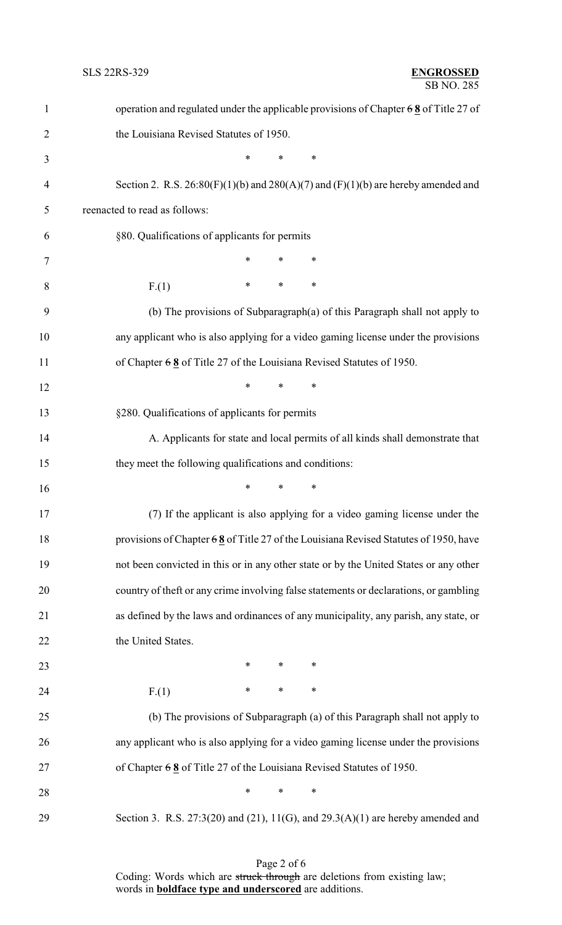| $\mathbf{1}$   | operation and regulated under the applicable provisions of Chapter $68$ of Title 27 of    |
|----------------|-------------------------------------------------------------------------------------------|
| $\overline{2}$ | the Louisiana Revised Statutes of 1950.                                                   |
| 3              | *<br>$\ast$<br>∗                                                                          |
| 4              | Section 2. R.S. $26:80(F)(1)(b)$ and $280(A)(7)$ and $(F)(1)(b)$ are hereby amended and   |
| 5              | reenacted to read as follows:                                                             |
| 6              | §80. Qualifications of applicants for permits                                             |
| $\tau$         | $\ast$<br>$\ast$<br>$\ast$                                                                |
| 8              | $\ast$<br>∗<br>$\ast$<br>F(1)                                                             |
| 9              | (b) The provisions of Subparagraph $(a)$ of this Paragraph shall not apply to             |
| 10             | any applicant who is also applying for a video gaming license under the provisions        |
| 11             | of Chapter $68$ of Title 27 of the Louisiana Revised Statutes of 1950.                    |
| 12             | $\ast$<br>$\ast$<br>$\ast$                                                                |
| 13             | §280. Qualifications of applicants for permits                                            |
| 14             | A. Applicants for state and local permits of all kinds shall demonstrate that             |
| 15             | they meet the following qualifications and conditions:                                    |
| 16             | *<br>∗<br>∗                                                                               |
| 17             | (7) If the applicant is also applying for a video gaming license under the                |
| 18             | provisions of Chapter $68$ of Title 27 of the Louisiana Revised Statutes of 1950, have    |
| 19             | not been convicted in this or in any other state or by the United States or any other     |
| 20             | country of theft or any crime involving false statements or declarations, or gambling     |
| 21             | as defined by the laws and ordinances of any municipality, any parish, any state, or      |
| 22             | the United States.                                                                        |
| 23             | $\ast$<br>∗<br>∗                                                                          |
| 24             | ∗<br>$\ast$<br>∗<br>F(1)                                                                  |
| 25             | (b) The provisions of Subparagraph (a) of this Paragraph shall not apply to               |
| 26             | any applicant who is also applying for a video gaming license under the provisions        |
| 27             | of Chapter $68$ of Title 27 of the Louisiana Revised Statutes of 1950.                    |
| 28             | *<br>∗<br>∗                                                                               |
| 29             | Section 3. R.S. $27:3(20)$ and $(21)$ , $11(G)$ , and $29.3(A)(1)$ are hereby amended and |

Page 2 of 6 Coding: Words which are struck through are deletions from existing law; words in **boldface type and underscored** are additions.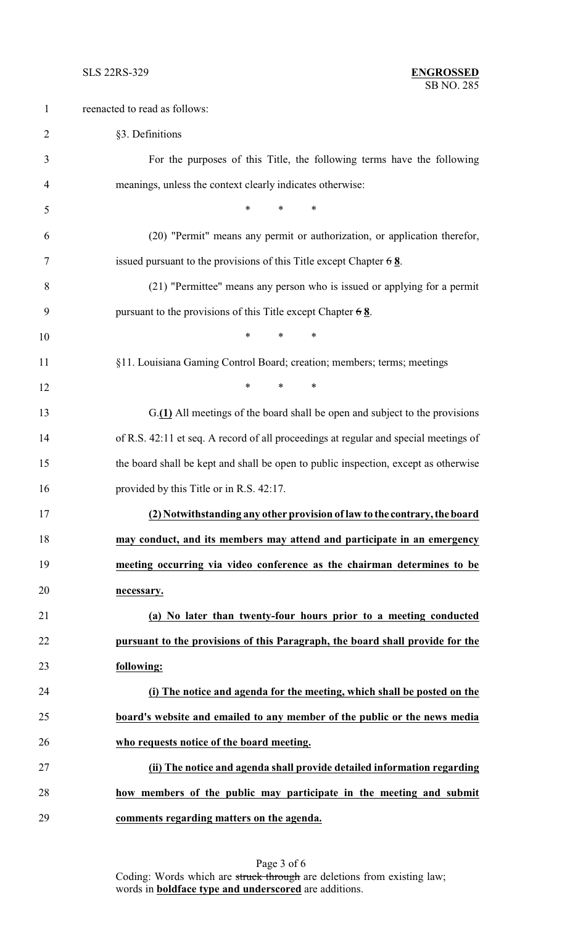| $\mathbf{1}$   | reenacted to read as follows:                                                        |
|----------------|--------------------------------------------------------------------------------------|
| $\overline{2}$ | §3. Definitions                                                                      |
| 3              | For the purposes of this Title, the following terms have the following               |
| $\overline{4}$ | meanings, unless the context clearly indicates otherwise:                            |
| 5              | $*$<br>$\ast$<br>∗                                                                   |
| 6              | (20) "Permit" means any permit or authorization, or application therefor,            |
| 7              | issued pursuant to the provisions of this Title except Chapter $68$ .                |
| 8              | (21) "Permittee" means any person who is issued or applying for a permit             |
| 9              | pursuant to the provisions of this Title except Chapter $68$ .                       |
| 10             | $\ast$<br>$\ast$<br>∗                                                                |
| 11             | §11. Louisiana Gaming Control Board; creation; members; terms; meetings              |
| 12             | $*$<br>$\ast$<br>∗                                                                   |
| 13             | G.(1) All meetings of the board shall be open and subject to the provisions          |
| 14             | of R.S. 42:11 et seq. A record of all proceedings at regular and special meetings of |
| 15             | the board shall be kept and shall be open to public inspection, except as otherwise  |
| 16             | provided by this Title or in R.S. 42:17.                                             |
| 17             | (2) Notwithstanding any other provision of law to the contrary, the board            |
| 18             | may conduct, and its members may attend and participate in an emergency              |
| 19             | meeting occurring via video conference as the chairman determines to be              |
| 20             | necessary.                                                                           |
| 21             | (a) No later than twenty-four hours prior to a meeting conducted                     |
| 22             | pursuant to the provisions of this Paragraph, the board shall provide for the        |
| 23             | following:                                                                           |
| 24             | (i) The notice and agenda for the meeting, which shall be posted on the              |
| 25             | board's website and emailed to any member of the public or the news media            |
| 26             | who requests notice of the board meeting.                                            |
| 27             | (ii) The notice and agenda shall provide detailed information regarding              |
| 28             | how members of the public may participate in the meeting and submit                  |
| 29             | comments regarding matters on the agenda.                                            |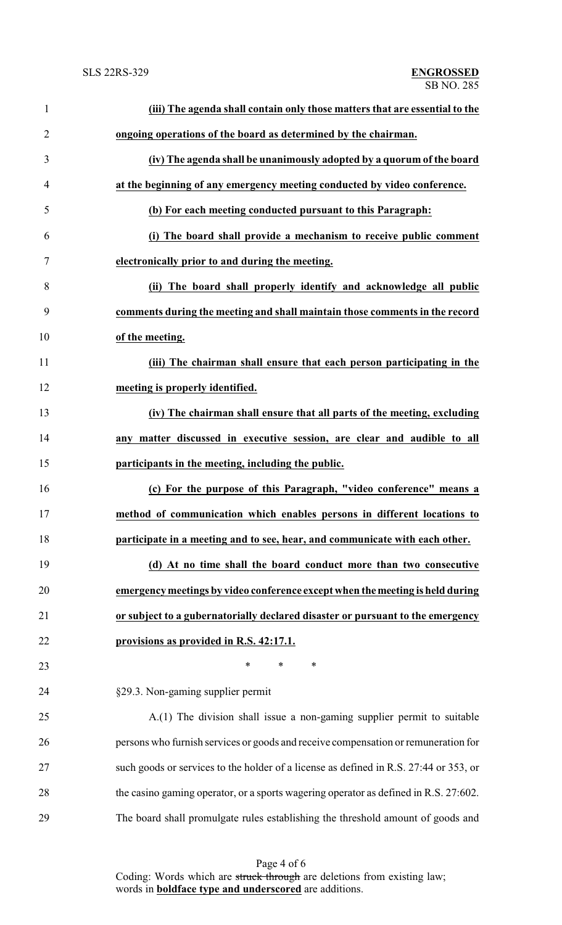| $\mathbf{1}$   | (iii) The agenda shall contain only those matters that are essential to the           |
|----------------|---------------------------------------------------------------------------------------|
| $\overline{2}$ | ongoing operations of the board as determined by the chairman.                        |
| 3              | (iv) The agenda shall be unanimously adopted by a quorum of the board                 |
| 4              | at the beginning of any emergency meeting conducted by video conference.              |
| 5              | (b) For each meeting conducted pursuant to this Paragraph:                            |
| 6              | (i) The board shall provide a mechanism to receive public comment                     |
| 7              | electronically prior to and during the meeting.                                       |
| 8              | (ii) The board shall properly identify and acknowledge all public                     |
| 9              | comments during the meeting and shall maintain those comments in the record           |
| 10             | of the meeting.                                                                       |
| 11             | (iii) The chairman shall ensure that each person participating in the                 |
| 12             | meeting is properly identified.                                                       |
| 13             | (iv) The chairman shall ensure that all parts of the meeting, excluding               |
| 14             | any matter discussed in executive session, are clear and audible to all               |
| 15             | participants in the meeting, including the public.                                    |
| 16             | (c) For the purpose of this Paragraph, "video conference" means a                     |
| 17             | method of communication which enables persons in different locations to               |
| 18             | participate in a meeting and to see, hear, and communicate with each other.           |
| 19             | (d) At no time shall the board conduct more than two consecutive                      |
| 20             | emergency meetings by video conference except when the meeting is held during         |
| 21             | or subject to a gubernatorially declared disaster or pursuant to the emergency        |
| 22             | provisions as provided in R.S. 42:17.1.                                               |
| 23             | $\ast$<br>$\ast$<br>∗                                                                 |
| 24             | §29.3. Non-gaming supplier permit                                                     |
| 25             | A.(1) The division shall issue a non-gaming supplier permit to suitable               |
| 26             | persons who furnish services or goods and receive compensation or remuneration for    |
| 27             | such goods or services to the holder of a license as defined in R.S. 27:44 or 353, or |
| 28             | the casino gaming operator, or a sports wagering operator as defined in R.S. 27:602.  |
| 29             | The board shall promulgate rules establishing the threshold amount of goods and       |

Page 4 of 6 Coding: Words which are struck through are deletions from existing law; words in **boldface type and underscored** are additions.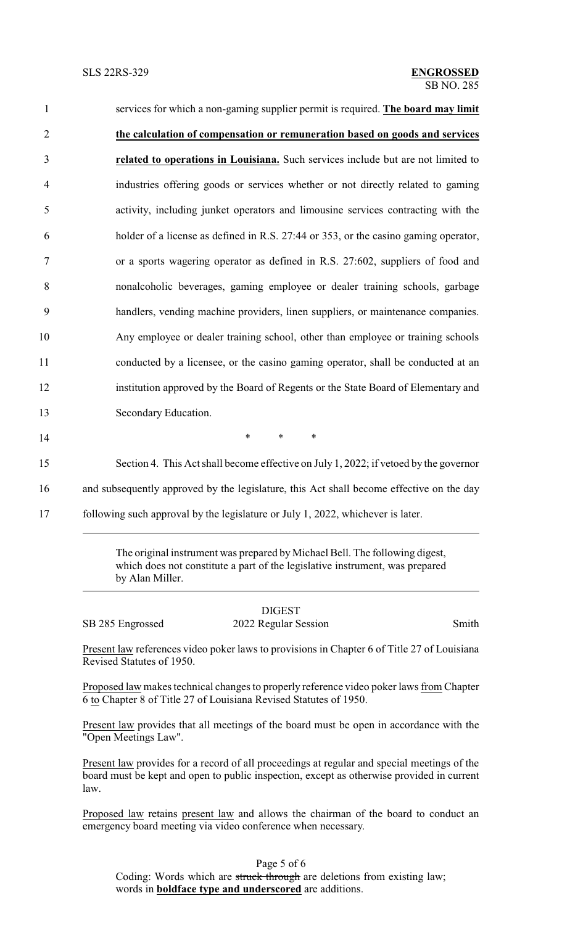| $\mathbf{1}$   | services for which a non-gaming supplier permit is required. The board may limit      |
|----------------|---------------------------------------------------------------------------------------|
| $\overline{2}$ | the calculation of compensation or remuneration based on goods and services           |
| 3              | related to operations in Louisiana. Such services include but are not limited to      |
| $\overline{4}$ | industries offering goods or services whether or not directly related to gaming       |
| 5              | activity, including junket operators and limousine services contracting with the      |
| 6              | holder of a license as defined in R.S. 27:44 or 353, or the casino gaming operator,   |
| 7              | or a sports wagering operator as defined in R.S. 27:602, suppliers of food and        |
| $8\,$          | nonalcoholic beverages, gaming employee or dealer training schools, garbage           |
| 9              | handlers, vending machine providers, linen suppliers, or maintenance companies.       |
| 10             | Any employee or dealer training school, other than employee or training schools       |
| 11             | conducted by a licensee, or the casino gaming operator, shall be conducted at an      |
| 12             | institution approved by the Board of Regents or the State Board of Elementary and     |
| 13             | Secondary Education.                                                                  |
| 14             | $\ast$<br>$\ast$<br>$\ast$                                                            |
| 15             | Section 4. This Act shall become effective on July 1, 2022; if vetoed by the governor |
|                |                                                                                       |

16 and subsequently approved by the legislature, this Act shall become effective on the day

17 following such approval by the legislature or July 1, 2022, whichever is later.

The original instrument was prepared by Michael Bell. The following digest, which does not constitute a part of the legislative instrument, was prepared by Alan Miller.

DIGEST SB 285 Engrossed 2022 Regular Session Smith

Present law references video poker laws to provisions in Chapter 6 of Title 27 of Louisiana Revised Statutes of 1950.

Proposed law makes technical changes to properly reference video poker laws from Chapter 6 to Chapter 8 of Title 27 of Louisiana Revised Statutes of 1950.

Present law provides that all meetings of the board must be open in accordance with the "Open Meetings Law".

Present law provides for a record of all proceedings at regular and special meetings of the board must be kept and open to public inspection, except as otherwise provided in current law.

Proposed law retains present law and allows the chairman of the board to conduct an emergency board meeting via video conference when necessary.

Page 5 of 6

Coding: Words which are struck through are deletions from existing law; words in **boldface type and underscored** are additions.